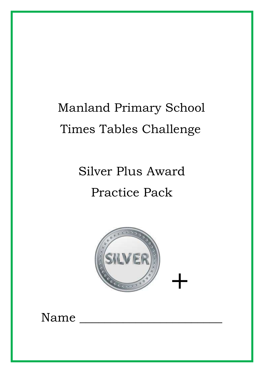# Manland Primary School Times Tables Challenge

Silver Plus Award Practice Pack



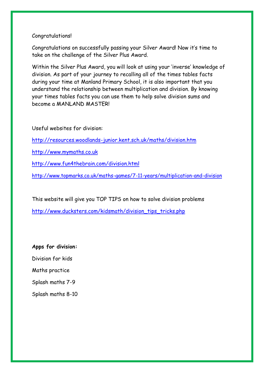### Congratulations!

Congratulations on successfully passing your Silver Award! Now it's time to take on the challenge of the Silver Plus Award.

Within the Silver Plus Award, you will look at using your 'inverse' knowledge of division. As part of your journey to recalling all of the times tables facts during your time at Manland Primary School, it is also important that you understand the relationship between multiplication and division. By knowing your times tables facts you can use them to help solve division sums and become a MANLAND MASTER!

Useful websites for division:

<http://resources.woodlands-junior.kent.sch.uk/maths/division.htm>

[http://www.mymaths.co.uk](http://www.mymaths.co.uk/)

<http://www.fun4thebrain.com/division.html>

<http://www.topmarks.co.uk/maths-games/7-11-years/multiplication-and-division>

This website will give you TOP TIPS on how to solve division problems

[http://www.ducksters.com/kidsmath/division\\_tips\\_tricks.php](http://www.ducksters.com/kidsmath/division_tips_tricks.php)

**Apps for division:** Division for kids Maths practice Splash maths 7-9 Splash maths 8-10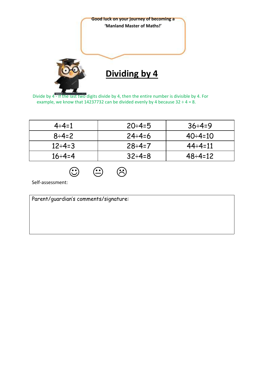

Divide by 4 - If the last two digits divide by 4, then the entire number is divisible by 4. For example, we know that 14237732 can be divided evenly by 4 because  $32 \div 4 = 8$ .

| $4 \div 4 = 1$  | $20 \div 4 = 5$ | $36 \div 4 = 9$  |
|-----------------|-----------------|------------------|
| $8 \div 4 = 2$  | $24 \div 4 = 6$ | $40 \div 4 = 10$ |
| $12 \div 4 = 3$ | $28 \div 4 = 7$ | $44 \div 4 = 11$ |
| $16 \div 4 = 4$ | $32 \div 4 = 8$ | $48 \div 4 = 12$ |

 $\circledcirc$   $\circledcirc$ 

Self-assessment:

| Parent/guardian's comments/signature: |  |  |
|---------------------------------------|--|--|
|                                       |  |  |
|                                       |  |  |
|                                       |  |  |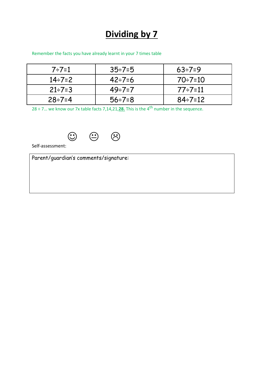### **Dividing by 7**

#### Remember the facts you have already learnt in your 7 times table

| $7 \div 7 = 1$  | $35 \div 7 = 5$ | $63 \div 7 = 9$  |
|-----------------|-----------------|------------------|
| $14 \div 7 = 2$ | $42 \div 7 = 6$ | $70 \div 7 = 10$ |
| $21 \div 7 = 3$ | $49 \div 7 = 7$ | $77 - 7 = 11$    |
| $28 \div 7 = 4$ | $56 \div 7 = 8$ | $84 \div 7 = 12$ |

28 ÷ 7... we know our 7x table facts 7,14,21,28. This is the 4<sup>th</sup> number in the sequence.



Self-assessment:

Parent/guardian's comments/signature: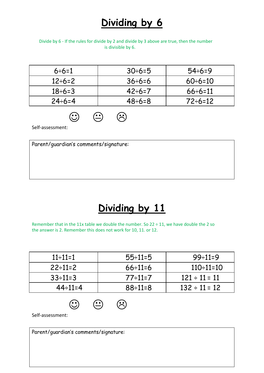# **Dividing by 6**

#### Divide by 6 - If the rules for divide by 2 and divide by 3 above are true, then the number is divisible by 6.

| $6 \div 6 = 1$  | $30 \div 6 = 5$ | $54 \div 6 = 9$  |
|-----------------|-----------------|------------------|
| $12 \div 6 = 2$ | $36 \div 6 = 6$ | $60 \div 6 = 10$ |
| $18 \div 6 = 3$ | $42 \div 6 = 7$ | $66 \div 6 = 11$ |
| $24 \div 6 = 4$ | $48 \div 6 = 8$ | $72 \div 6 = 12$ |

 $\bigoplus$   $\bigoplus$ 

Self-assessment:

Parent/guardian's comments/signature:

# **Dividing by 11**

Remember that in the 11x table we double the number. So 22 ÷ 11, we have double the 2 so the answer is 2. Remember this does not work for 10, 11. or 12.

| $11 \div 11 = 1$ | $55 \div 11 = 5$ | $99-11=9$          |
|------------------|------------------|--------------------|
| $22 \div 11 = 2$ | $66 \div 11 = 6$ | $110 \div 11 = 10$ |
| $33 \div 11 = 3$ | $77-11=7$        | $121 \div 11 = 11$ |
| $44 \div 11 = 4$ | $88 \div 11 = 8$ | $132 \div 11 = 12$ |

 $\odot$   $\odot$   $\odot$ 

Self-assessment:

Parent/guardian's comments/signature: